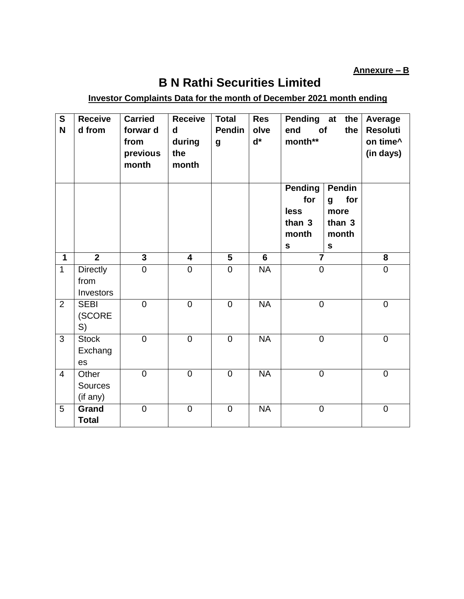**Annexure – B**

## **B N Rathi Securities Limited**

## **Investor Complaints Data for the month of December 2021 month ending**

| $\overline{\mathbf{s}}$<br>N | <b>Receive</b><br>d from             | <b>Carried</b><br>forwar d<br>from<br>previous<br>month | <b>Receive</b><br>d<br>during<br>the<br>month | <b>Total</b><br><b>Pendin</b><br>$\boldsymbol{g}$ | <b>Res</b><br>olve<br>$d^*$ | <b>Pending</b><br>at<br>the<br>of<br>end<br>the<br>month**      |                                                              | Average<br><b>Resoluti</b><br>on time^<br>(in days) |
|------------------------------|--------------------------------------|---------------------------------------------------------|-----------------------------------------------|---------------------------------------------------|-----------------------------|-----------------------------------------------------------------|--------------------------------------------------------------|-----------------------------------------------------|
|                              |                                      |                                                         |                                               |                                                   |                             | <b>Pending</b><br>for<br>less<br>than 3<br>month<br>$\mathbf s$ | Pendin<br>for<br>g<br>more<br>than 3<br>month<br>$\mathbf s$ |                                                     |
| $\mathbf 1$                  | $\overline{2}$                       | $\overline{\mathbf{3}}$                                 | $\overline{\mathbf{4}}$                       | 5                                                 | 6                           | $\overline{7}$                                                  |                                                              | 8                                                   |
| $\mathbf{1}$                 | <b>Directly</b><br>from<br>Investors | $\mathbf 0$                                             | $\overline{0}$                                | $\overline{0}$                                    | <b>NA</b>                   | $\mathbf 0$                                                     |                                                              | $\mathbf 0$                                         |
| $\overline{2}$               | <b>SEBI</b><br>(SCORE<br>S)          | $\mathbf 0$                                             | $\mathbf 0$                                   | $\mathbf 0$                                       | <b>NA</b>                   | $\boldsymbol{0}$                                                |                                                              | $\mathbf 0$                                         |
| 3                            | <b>Stock</b><br>Exchang<br>es        | $\overline{0}$                                          | $\overline{0}$                                | $\overline{0}$                                    | $\overline{\mathsf{NA}}$    | $\mathbf 0$                                                     |                                                              | $\mathbf 0$                                         |
| $\overline{4}$               | Other<br><b>Sources</b><br>(if any)  | $\overline{0}$                                          | $\overline{0}$                                | $\overline{0}$                                    | <b>NA</b>                   | $\overline{0}$                                                  |                                                              | $\mathbf 0$                                         |
| 5                            | Grand<br><b>Total</b>                | $\overline{0}$                                          | $\overline{0}$                                | $\overline{0}$                                    | <b>NA</b>                   | $\mathbf 0$                                                     |                                                              | $\mathbf 0$                                         |